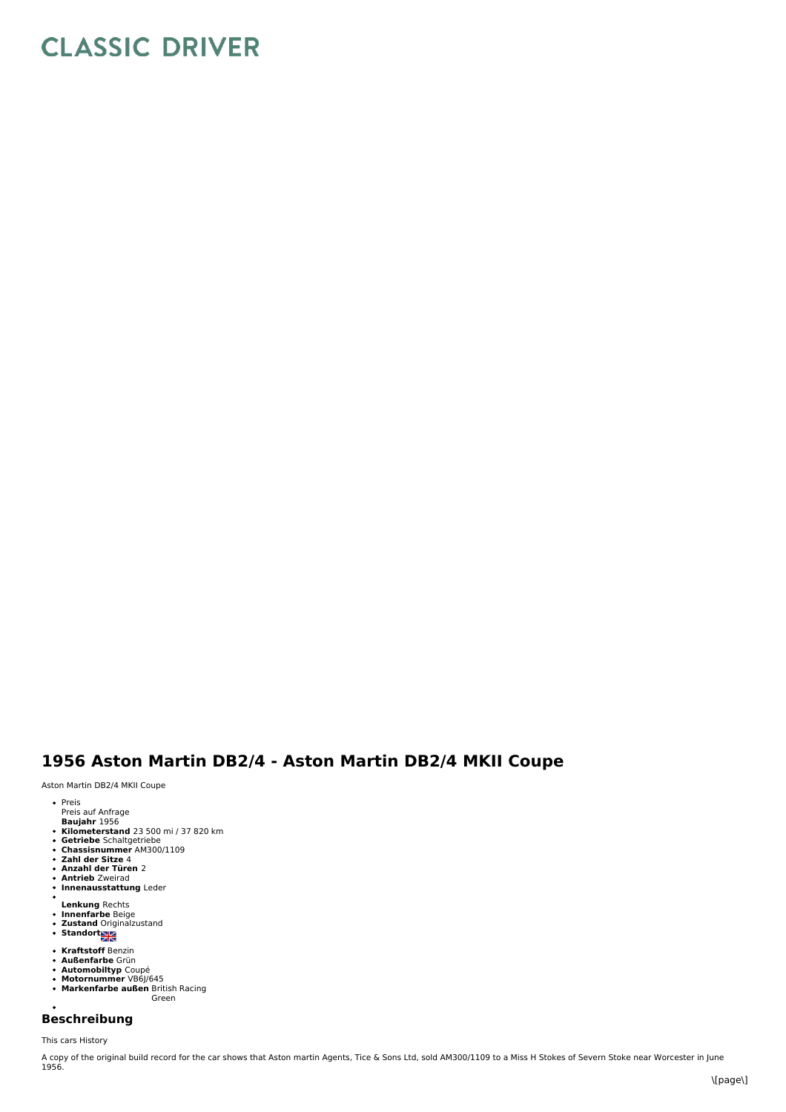## **CLASSIC DRIVER**

## **1956 Aston Martin DB2/4 - Aston Martin DB2/4 MKII Coupe**

Aston Martin DB2/4 MKII Coupe

- Preis
- Preis auf Anfrage
- **Baujahr** 1956<br>**Kilometerstand** 23 500 mi / 37 820 km
- **Getriebe** Schaltgetriebe **Chassisnummer** AM300/1109
- 
- **Zahl der Sitze** 4 **Anzahl der Türen** 2
- 
- **Antrieb** Zweirad **Innenausstattung** Leder
- 
- 
- **Lenkung** Rechts **Innenfarbe** Beige **Zustand** Originalzustand **Standort**
- 
- 
- 
- 
- **Kraftstoff** Benzin<br>**Außenfarbe** Grün<br>**Automobiltyp** Coupé<br>**Markenfarbe außen** British Racing<br>**Markenfarbe außen** British Racing
- Green

## **Beschreibung**

This cars History

A copy of the original build record for the car shows that Aston martin Agents, Tice & Sons Ltd, sold AM300/1109 to a Miss H Stokes of Severn Stoke near Worcester in June<br>1956.